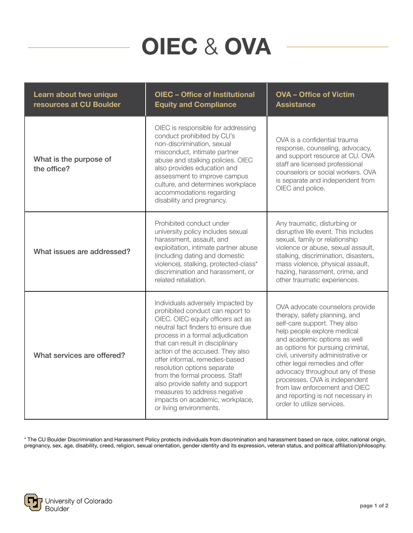## OIEC & OVA

| Learn about two unique<br>resources at CU Boulder | <b>OIEC - Office of Institutional</b><br><b>Equity and Compliance</b>                                                                                                                                                                                                                                                                                                                                                                                                                           | <b>OVA - Office of Victim</b><br><b>Assistance</b>                                                                                                                                                                                                                                                                                                                                                                                                     |
|---------------------------------------------------|-------------------------------------------------------------------------------------------------------------------------------------------------------------------------------------------------------------------------------------------------------------------------------------------------------------------------------------------------------------------------------------------------------------------------------------------------------------------------------------------------|--------------------------------------------------------------------------------------------------------------------------------------------------------------------------------------------------------------------------------------------------------------------------------------------------------------------------------------------------------------------------------------------------------------------------------------------------------|
| What is the purpose of<br>the office?             | OIEC is responsible for addressing<br>conduct prohibited by CU's<br>non-discrimination, sexual<br>misconduct, intimate partner<br>abuse and stalking policies. OIEC<br>also provides education and<br>assessment to improve campus<br>culture, and determines workplace<br>accommodations regarding<br>disability and pregnancy.                                                                                                                                                                | OVA is a confidential trauma<br>response, counseling, advocacy,<br>and support resource at CU. OVA<br>staff are licensed professional<br>counselors or social workers. OVA<br>is separate and independent from<br>OIEC and police.                                                                                                                                                                                                                     |
| What issues are addressed?                        | Prohibited conduct under<br>university policy includes sexual<br>harassment, assault, and<br>exploitation, intimate partner abuse<br>(including dating and domestic<br>violence), stalking, protected-class*<br>discrimination and harassment, or<br>related retaliation.                                                                                                                                                                                                                       | Any traumatic, disturbing or<br>disruptive life event. This includes<br>sexual, family or relationship<br>violence or abuse, sexual assault,<br>stalking, discrimination, disasters,<br>mass violence, physical assault,<br>hazing, harassment, crime, and<br>other traumatic experiences.                                                                                                                                                             |
| What services are offered?                        | Individuals adversely impacted by<br>prohibited conduct can report to<br>OIEC. OIEC equity officers act as<br>neutral fact finders to ensure due<br>process in a formal adjudication<br>that can result in disciplinary<br>action of the accused. They also<br>offer informal, remedies-based<br>resolution options separate<br>from the formal process. Staff<br>also provide safety and support<br>measures to address negative<br>impacts on academic, workplace,<br>or living environments. | OVA advocate counselors provide<br>therapy, safety planning, and<br>self-care support. They also<br>help people explore medical<br>and academic options as well<br>as options for pursuing criminal,<br>civil, university administrative or<br>other legal remedies and offer<br>advocacy throughout any of these<br>processes. OVA is independent<br>from law enforcement and OIEC<br>and reporting is not necessary in<br>order to utilize services. |

\* The CU Boulder Discrimination and Harassment Policy protects individuals from discrimination and harassment based on race, color, national origin, pregnancy, sex, age, disability, creed, religion, sexual orientation, gender identity and its expression, veteran status, and political affiliation/philosophy.